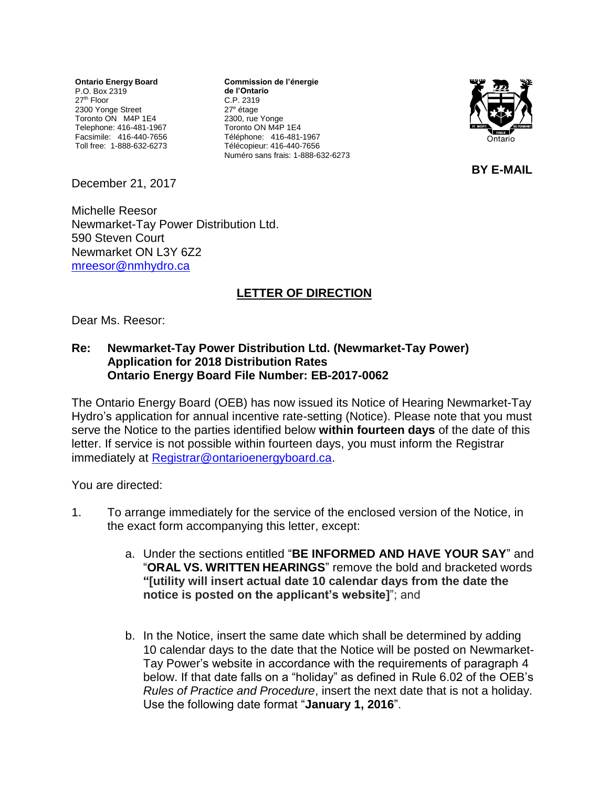**Ontario Energy Board** P.O. Box 2319 27<sup>th</sup> Floor 2300 Yonge Street Toronto ON M4P 1E4 Telephone: 416-481-1967 Facsimile: 416-440-7656 Toll free: 1-888-632-6273

**Commission de l'énergie de l'Ontario** C.P. 2319 27<sup>e</sup> étage 2300, rue Yonge Toronto ON M4P 1E4 Téléphone: 416-481-1967 Télécopieur: 416-440-7656 Numéro sans frais: 1-888-632-6273



**BY E-MAIL**

December 21, 2017

Michelle Reesor Newmarket-Tay Power Distribution Ltd. 590 Steven Court Newmarket ON L3Y 6Z2 [mreesor@nmhydro.ca](mailto:mreesor@nmhydro.ca)

## **LETTER OF DIRECTION**

Dear Ms. Reesor:

## **Re: Newmarket-Tay Power Distribution Ltd. (Newmarket-Tay Power) Application for 2018 Distribution Rates Ontario Energy Board File Number: EB-2017-0062**

The Ontario Energy Board (OEB) has now issued its Notice of Hearing Newmarket-Tay Hydro's application for annual incentive rate-setting (Notice). Please note that you must serve the Notice to the parties identified below **within fourteen days** of the date of this letter. If service is not possible within fourteen days, you must inform the Registrar immediately at [Registrar@ontarioenergyboard.ca.](mailto:Registrar@ontarioenergyboard.ca)

You are directed:

- 1. To arrange immediately for the service of the enclosed version of the Notice, in the exact form accompanying this letter, except:
	- a. Under the sections entitled "**BE INFORMED AND HAVE YOUR SAY**" and "**ORAL VS. WRITTEN HEARINGS**" remove the bold and bracketed words **"[utility will insert actual date 10 calendar days from the date the notice is posted on the applicant's website]**"; and
	- b. In the Notice, insert the same date which shall be determined by adding 10 calendar days to the date that the Notice will be posted on Newmarket-Tay Power's website in accordance with the requirements of paragraph 4 below. If that date falls on a "holiday" as defined in Rule 6.02 of the OEB's *Rules of Practice and Procedure*, insert the next date that is not a holiday. Use the following date format "**January 1, 2016**".